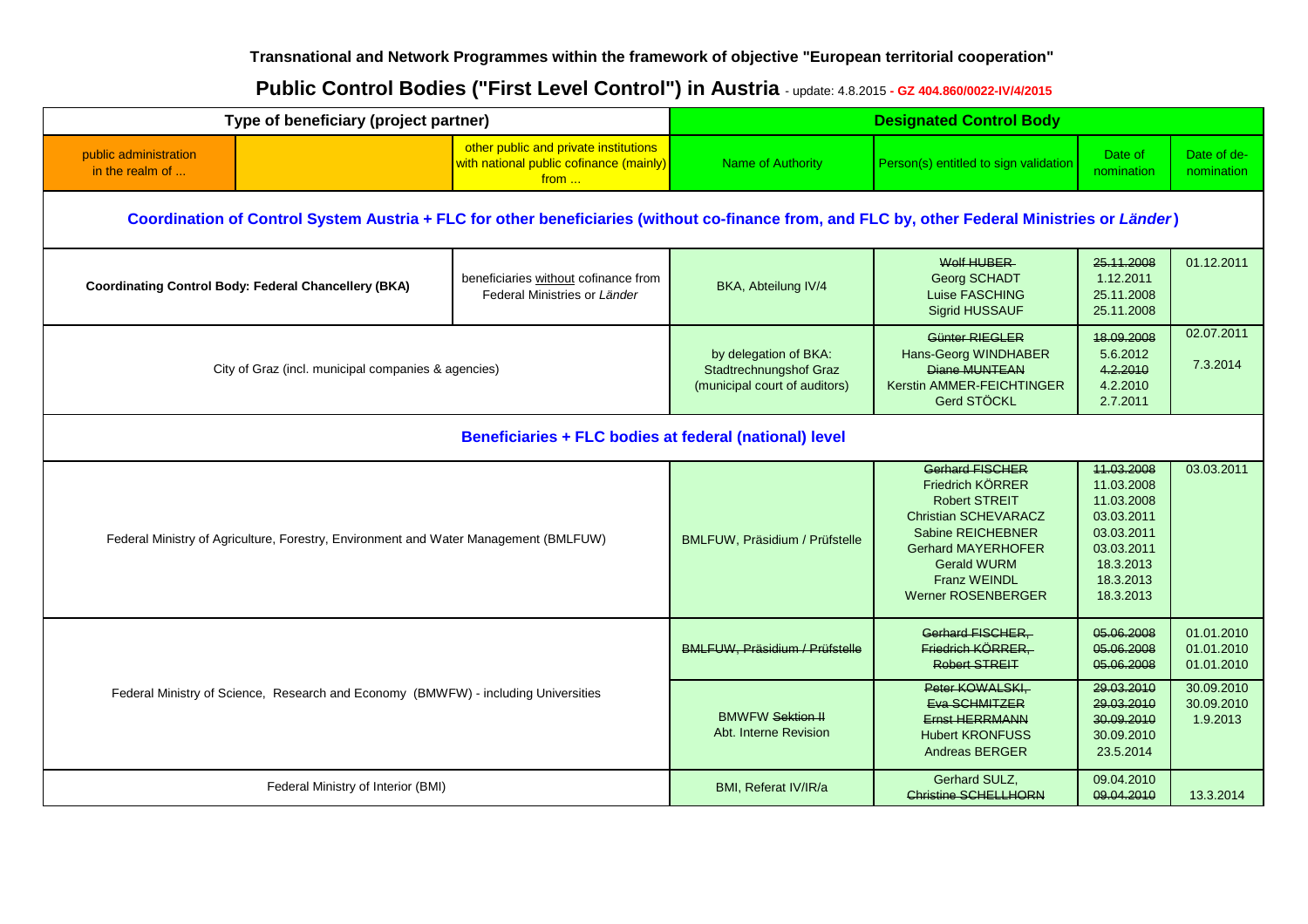### **Transnational and Network Programmes within the framework of objective "European territorial cooperation"**

# Public Control Bodies ("First Level Control") in Austria - update: 4.8.2015 - GZ 404.860/0022-IV/4/2015

| Type of beneficiary (project partner)                                                                                                          |                                                             | <b>Designated Control Body</b>                                                           |                                                               |                                                                                                                                                                                                                               |                                                                                                                         |                                      |  |  |
|------------------------------------------------------------------------------------------------------------------------------------------------|-------------------------------------------------------------|------------------------------------------------------------------------------------------|---------------------------------------------------------------|-------------------------------------------------------------------------------------------------------------------------------------------------------------------------------------------------------------------------------|-------------------------------------------------------------------------------------------------------------------------|--------------------------------------|--|--|
| public administration<br>in the realm of                                                                                                       |                                                             | other public and private institutions<br>with national public cofinance (mainly)<br>from | <b>Name of Authority</b>                                      | Person(s) entitled to sign validation                                                                                                                                                                                         | Date of<br>nomination                                                                                                   | Date of de-<br>nomination            |  |  |
| Coordination of Control System Austria + FLC for other beneficiaries (without co-finance from, and FLC by, other Federal Ministries or Länder) |                                                             |                                                                                          |                                                               |                                                                                                                                                                                                                               |                                                                                                                         |                                      |  |  |
|                                                                                                                                                | <b>Coordinating Control Body: Federal Chancellery (BKA)</b> | beneficiaries without cofinance from<br>Federal Ministries or Länder                     | BKA, Abteilung IV/4                                           | Wolf HUBER<br><b>Georg SCHADT</b><br>Luise FASCHING<br><b>Sigrid HUSSAUF</b>                                                                                                                                                  | 25.11.2008<br>1.12.2011<br>25.11.2008<br>25.11.2008                                                                     | 01.12.2011                           |  |  |
|                                                                                                                                                | City of Graz (incl. municipal companies & agencies)         |                                                                                          |                                                               | Günter RIEGLER<br>Hans-Georg WINDHABER<br>Diane MUNTEAN<br>Kerstin AMMER-FEICHTINGER<br>Gerd STÖCKL                                                                                                                           | 18.09.2008<br>5.6.2012<br>4.2.2010<br>4.2.2010<br>2.7.2011                                                              | 02.07.2011<br>7.3.2014               |  |  |
|                                                                                                                                                | Beneficiaries + FLC bodies at federal (national) level      |                                                                                          |                                                               |                                                                                                                                                                                                                               |                                                                                                                         |                                      |  |  |
| Federal Ministry of Agriculture, Forestry, Environment and Water Management (BMLFUW)                                                           |                                                             |                                                                                          | BMLFUW, Präsidium / Prüfstelle                                | <b>Gerhard FISCHER</b><br>Friedrich KÖRRER<br><b>Robert STREIT</b><br><b>Christian SCHEVARACZ</b><br>Sabine REICHEBNER<br><b>Gerhard MAYERHOFER</b><br><b>Gerald WURM</b><br><b>Franz WEINDL</b><br><b>Werner ROSENBERGER</b> | 11.03.2008<br>11.03.2008<br>11.03.2008<br>03.03.2011<br>03.03.2011<br>03.03.2011<br>18.3.2013<br>18.3.2013<br>18.3.2013 | 03.03.2011                           |  |  |
| Federal Ministry of Science, Research and Economy (BMWFW) - including Universities                                                             |                                                             | BMLFUW, Präsidium / Prüfstelle                                                           | Gerhard FISCHER.<br>Friedrich KÖRRER,<br><b>Robert STREIT</b> | 05.06.2008<br>05.06.2008<br>05.06.2008                                                                                                                                                                                        | 01.01.2010<br>01.01.2010<br>01.01.2010                                                                                  |                                      |  |  |
|                                                                                                                                                |                                                             |                                                                                          | <b>BMWFW Sektion II</b><br>Abt. Interne Revision              | Peter KOWALSKI.<br>Eva SCHMITZER<br><b>Ernst HERRMANN</b><br><b>Hubert KRONFUSS</b><br><b>Andreas BERGER</b>                                                                                                                  | 29.03.2010<br>29.03.2010<br>30.09.2010<br>30.09.2010<br>23.5.2014                                                       | 30.09.2010<br>30.09.2010<br>1.9.2013 |  |  |
| Federal Ministry of Interior (BMI)                                                                                                             |                                                             |                                                                                          | BMI, Referat IV/IR/a                                          | Gerhard SULZ,<br><b>Christine SCHELLHORN</b>                                                                                                                                                                                  | 09.04.2010<br>09.04.2010                                                                                                | 13.3.2014                            |  |  |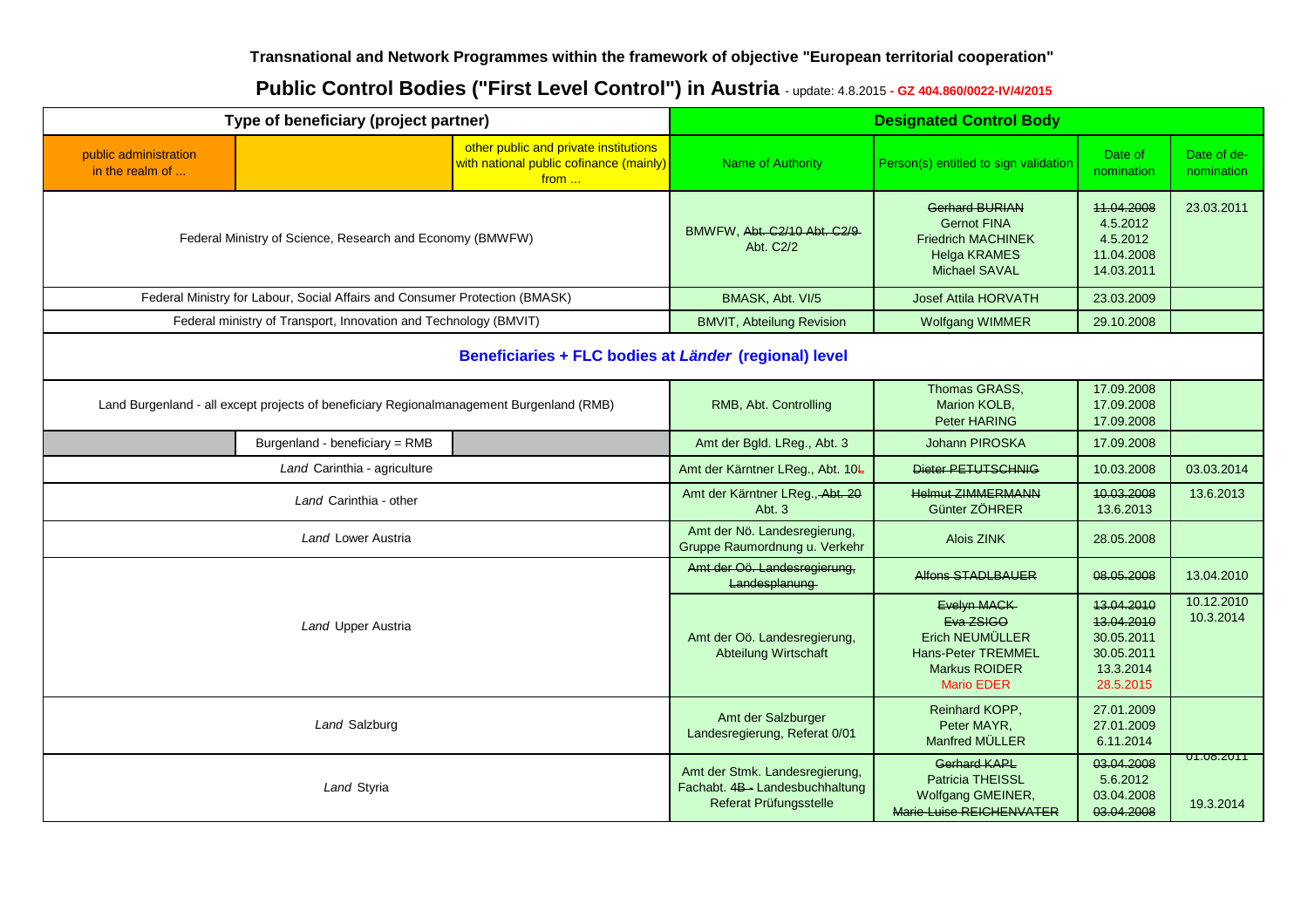### **Transnational and Network Programmes within the framework of objective "European territorial cooperation"**

# Public Control Bodies ("First Level Control") in Austria - update: 4.8.2015 - GZ 404.860/0022-IV/4/2015

| Type of beneficiary (project partner)                     |                                                                                          | <b>Designated Control Body</b>                                                                    |                                                                                                                |                                                                                                                  |                                                                |                           |  |  |
|-----------------------------------------------------------|------------------------------------------------------------------------------------------|---------------------------------------------------------------------------------------------------|----------------------------------------------------------------------------------------------------------------|------------------------------------------------------------------------------------------------------------------|----------------------------------------------------------------|---------------------------|--|--|
| public administration<br>in the realm of                  |                                                                                          | other public and private institutions<br>with national public cofinance (mainly)<br>from $\ldots$ | Name of Authority                                                                                              | Person(s) entitled to sign validation                                                                            | Date of<br>nomination                                          | Date of de-<br>nomination |  |  |
| Federal Ministry of Science, Research and Economy (BMWFW) |                                                                                          |                                                                                                   | BMWFW, Abt. C2/10 Abt. C2/9-<br>Abt. C2/2                                                                      | Gerhard BURIAN<br><b>Gernot FINA</b><br><b>Friedrich MACHINEK</b><br><b>Helga KRAMES</b><br><b>Michael SAVAL</b> | 11.04.2008<br>4.5.2012<br>4.5.2012<br>11.04.2008<br>14.03.2011 | 23.03.2011                |  |  |
|                                                           | Federal Ministry for Labour, Social Affairs and Consumer Protection (BMASK)              |                                                                                                   |                                                                                                                | <b>Josef Attila HORVATH</b>                                                                                      | 23.03.2009                                                     |                           |  |  |
|                                                           | Federal ministry of Transport, Innovation and Technology (BMVIT)                         |                                                                                                   | <b>BMVIT, Abteilung Revision</b>                                                                               | <b>Wolfgang WIMMER</b>                                                                                           | 29.10.2008                                                     |                           |  |  |
| Beneficiaries + FLC bodies at Länder (regional) level     |                                                                                          |                                                                                                   |                                                                                                                |                                                                                                                  |                                                                |                           |  |  |
|                                                           | Land Burgenland - all except projects of beneficiary Regionalmanagement Burgenland (RMB) |                                                                                                   | RMB, Abt. Controlling                                                                                          | Thomas GRASS,<br>Marion KOLB,<br>Peter HARING                                                                    | 17.09.2008<br>17.09.2008<br>17.09.2008                         |                           |  |  |
|                                                           | Burgenland - beneficiary = RMB                                                           |                                                                                                   | Amt der Bgld. LReg., Abt. 3                                                                                    | Johann PIROSKA                                                                                                   | 17.09.2008                                                     |                           |  |  |
|                                                           | Land Carinthia - agriculture                                                             |                                                                                                   |                                                                                                                | Dieter PETUTSCHNIG                                                                                               | 10.03.2008                                                     | 03.03.2014                |  |  |
|                                                           | Land Carinthia - other                                                                   |                                                                                                   | Amt der Kärntner LReg., Abt. 20<br>Abt. 3                                                                      | <b>Helmut ZIMMERMANN</b><br>Günter ZÖHRER                                                                        | 10.03.2008<br>13.6.2013                                        | 13.6.2013                 |  |  |
|                                                           | Land Lower Austria                                                                       |                                                                                                   |                                                                                                                | Alois ZINK                                                                                                       | 28.05.2008                                                     |                           |  |  |
|                                                           |                                                                                          |                                                                                                   | Amt der Oö. Landesregierung,<br>Landesplanung                                                                  | <b>Alfons STADLBAUER</b>                                                                                         | 08.05.2008                                                     | 13.04.2010                |  |  |
| Land Upper Austria                                        |                                                                                          | Amt der Oö. Landesregierung,<br><b>Abteilung Wirtschaft</b>                                       | Evelyn MACK<br>Eva ZSIGO<br>Erich NEUMÜLLER<br>Hans-Peter TREMMEL<br><b>Markus ROIDER</b><br><b>Mario EDER</b> | 13.04.2010<br>13.04.2010<br>30.05.2011<br>30.05.2011<br>13.3.2014<br>28.5.2015                                   | 10.12.2010<br>10.3.2014                                        |                           |  |  |
| Land Salzburg                                             |                                                                                          |                                                                                                   | Amt der Salzburger<br>Landesregierung, Referat 0/01                                                            | Reinhard KOPP,<br>Peter MAYR.<br>Manfred MÜLLER                                                                  | 27.01.2009<br>27.01.2009<br>6.11.2014                          |                           |  |  |
| Land Styria                                               |                                                                                          |                                                                                                   | Amt der Stmk. Landesregierung,<br>Fachabt. 4B-Landesbuchhaltung<br>Referat Prüfungsstelle                      | <b>Gerhard KAPL</b><br>Patricia THEISSL<br>Wolfgang GMEINER,<br>Marie-Luise REICHENVATER                         | 03.04.2008<br>5.6.2012<br>03.04.2008<br>03.04.2008             | UT.U8.ZUTT<br>19.3.2014   |  |  |